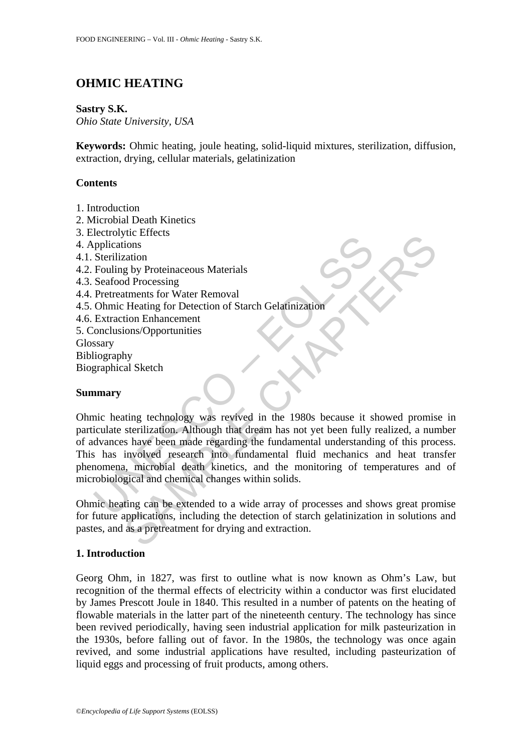# **OHMIC HEATING**

#### **Sastry S.K.**

*Ohio State University, USA* 

**Keywords:** Ohmic heating, joule heating, solid-liquid mixtures, sterilization, diffusion, extraction, drying, cellular materials, gelatinization

## **Contents**

- 1. Introduction
- 2. Microbial Death Kinetics
- 3. Electrolytic Effects
- 4. Applications
- 4.1. Sterilization
- 4.2. Fouling by Proteinaceous Materials
- 4.3. Seafood Processing
- 4.4. Pretreatments for Water Removal
- 4.5. Ohmic Heating for Detection of Starch Gelatinization
- 4.6. Extraction Enhancement
- 5. Conclusions/Opportunities
- Glossary
- Bibliography
- Biographical Sketch

## **Summary**

Exercity<br>
explications<br>
Sterilization<br>
Foluling by Proteinaceous Materials<br>
Seafood Processing<br>
Pretreatments for Water Removal<br>
Extraction Enhancement<br>
Extraction Enhancement<br>
Conclusions/Opportunities<br>
Seary<br>
iography<br>
g Francisco<br>
Station<br>
Show Encessing<br>
Show Proteinaceous Materials<br>
Show the Heating for Detection of Starch Gelatinization<br>
Heating for Detection of Starch Gelatinization<br>
Show the Enhancement<br>
Show al Sketch<br>
Show all Sket Ohmic heating technology was revived in the 1980s because it showed promise in particulate sterilization. Although that dream has not yet been fully realized, a number of advances have been made regarding the fundamental understanding of this process. This has involved research into fundamental fluid mechanics and heat transfer phenomena, microbial death kinetics, and the monitoring of temperatures and of microbiological and chemical changes within solids.

Ohmic heating can be extended to a wide array of processes and shows great promise for future applications, including the detection of starch gelatinization in solutions and pastes, and as a pretreatment for drying and extraction.

## **1. Introduction**

Georg Ohm, in 1827, was first to outline what is now known as Ohm's Law, but recognition of the thermal effects of electricity within a conductor was first elucidated by James Prescott Joule in 1840. This resulted in a number of patents on the heating of flowable materials in the latter part of the nineteenth century. The technology has since been revived periodically, having seen industrial application for milk pasteurization in the 1930s, before falling out of favor. In the 1980s, the technology was once again revived, and some industrial applications have resulted, including pasteurization of liquid eggs and processing of fruit products, among others.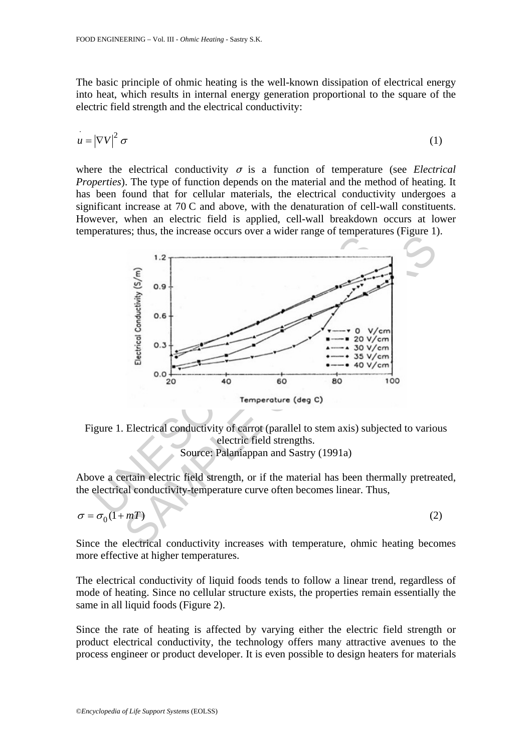The basic principle of ohmic heating is the well-known dissipation of electrical energy into heat, which results in internal energy generation proportional to the square of the electric field strength and the electrical conductivity:

$$
u = |\nabla V|^2 \sigma \tag{1}
$$

where the electrical conductivity  $\sigma$  is a function of temperature (see *Electrical Properties*). The type of function depends on the material and the method of heating. It has been found that for cellular materials, the electrical conductivity undergoes a significant increase at 70 C and above, with the denaturation of cell-wall constituents. However, when an electric field is applied, cell-wall breakdown occurs at lower temperatures; thus, the increase occurs over a wider range of temperatures (Figure 1).



Figure 1. Electrical conductivity of carrot (parallel to stem axis) subjected to various electric field strengths. Source: Palaniappan and Sastry (1991a)

Above a certain electric field strength, or if the material has been thermally pretreated, the electrical conductivity-temperature curve often becomes linear. Thus,

$$
\sigma = \sigma_0 (1 + mT) \tag{2}
$$

Since the electrical conductivity increases with temperature, ohmic heating becomes more effective at higher temperatures.

The electrical conductivity of liquid foods tends to follow a linear trend, regardless of mode of heating. Since no cellular structure exists, the properties remain essentially the same in all liquid foods (Figure 2).

Since the rate of heating is affected by varying either the electric field strength or product electrical conductivity, the technology offers many attractive avenues to the process engineer or product developer. It is even possible to design heaters for materials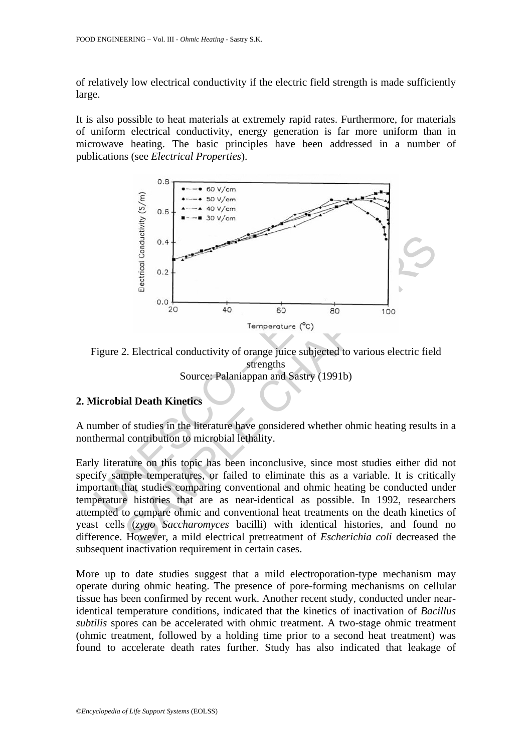of relatively low electrical conductivity if the electric field strength is made sufficiently large.

It is also possible to heat materials at extremely rapid rates. Furthermore, for materials of uniform electrical conductivity, energy generation is far more uniform than in microwave heating. The basic principles have been addressed in a number of publications (see *Electrical Properties*).



Figure 2. Electrical conductivity of orange juice subjected to various electric field strengths Source: Palaniappan and Sastry (1991b)

## **2. Microbial Death Kinetics**

A number of studies in the literature have considered whether ohmic heating results in a nonthermal contribution to microbial lethality.

Early literature on this topic has been inconclusive, since most studies either did not specify sample temperatures, or failed to eliminate this as a variable. It is critically important that studies comparing conventional and ohmic heating be conducted under temperature histories that are as near-identical as possible. In 1992, researchers attempted to compare ohmic and conventional heat treatments on the death kinetics of yeast cells (*zygo Saccharomyces* bacilli) with identical histories, and found no difference. However, a mild electrical pretreatment of *Escherichia coli* decreased the subsequent inactivation requirement in certain cases.

More up to date studies suggest that a mild electroporation-type mechanism may operate during ohmic heating. The presence of pore-forming mechanisms on cellular tissue has been confirmed by recent work. Another recent study, conducted under nearidentical temperature conditions, indicated that the kinetics of inactivation of *Bacillus subtilis* spores can be accelerated with ohmic treatment. A two-stage ohmic treatment (ohmic treatment, followed by a holding time prior to a second heat treatment) was found to accelerate death rates further. Study has also indicated that leakage of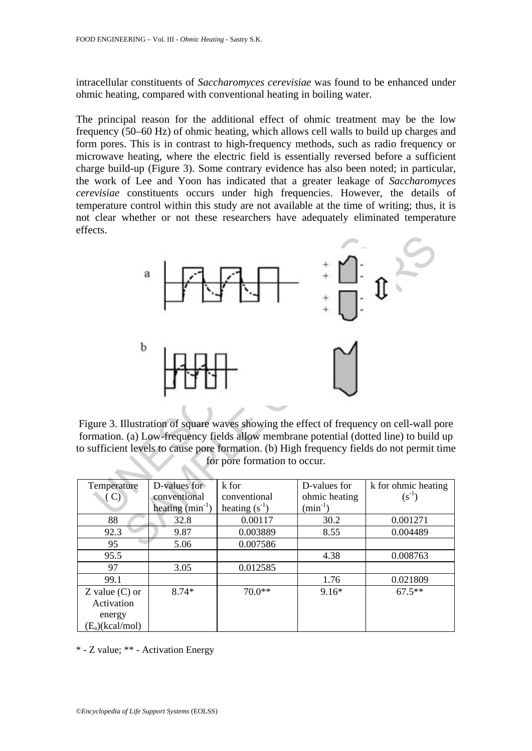intracellular constituents of *Saccharomyces cerevisiae* was found to be enhanced under ohmic heating, compared with conventional heating in boiling water.

The principal reason for the additional effect of ohmic treatment may be the low frequency (50–60 Hz) of ohmic heating, which allows cell walls to build up charges and form pores. This is in contrast to high-frequency methods, such as radio frequency or microwave heating, where the electric field is essentially reversed before a sufficient charge build-up (Figure 3). Some contrary evidence has also been noted; in particular, the work of Lee and Yoon has indicated that a greater leakage of *Saccharomyces cerevisiae* constituents occurs under high frequencies. However, the details of temperature control within this study are not available at the time of writing; thus, it is not clear whether or not these researchers have adequately eliminated temperature effects.



Figure 3. Illustration of square waves showing the effect of frequency on cell-wall pore formation. (a) Low-frequency fields allow membrane potential (dotted line) to build up to sufficient levels to cause pore formation. (b) High frequency fields do not permit time for pore formation to occur.

| Temperature        | D-values for         | k for              | D-values for  | k for ohmic heating |
|--------------------|----------------------|--------------------|---------------|---------------------|
| $\mathbf{C}$       | conventional         | conventional       | ohmic heating | $(s^{-1})$          |
|                    | heating $(min^{-1})$ | heating $(s^{-1})$ | $(min^{-1})$  |                     |
| 88                 | 32.8                 | 0.00117            | 30.2          | 0.001271            |
| 92.3               | 9.87                 | 0.003889           | 8.55          | 0.004489            |
| 95                 | 5.06                 | 0.007586           |               |                     |
| 95.5               |                      |                    | 4.38          | 0.008763            |
| 97                 | 3.05                 | 0.012585           |               |                     |
| 99.1               |                      |                    | 1.76          | 0.021809            |
| Z value $(C)$ or   | $8.74*$              | $70.0**$           | $9.16*$       | $67.5***$           |
| Activation         |                      |                    |               |                     |
| energy             |                      |                    |               |                     |
| $(E_a)$ (kcal/mol) |                      |                    |               |                     |

\* - Z value; \*\* - Activation Energy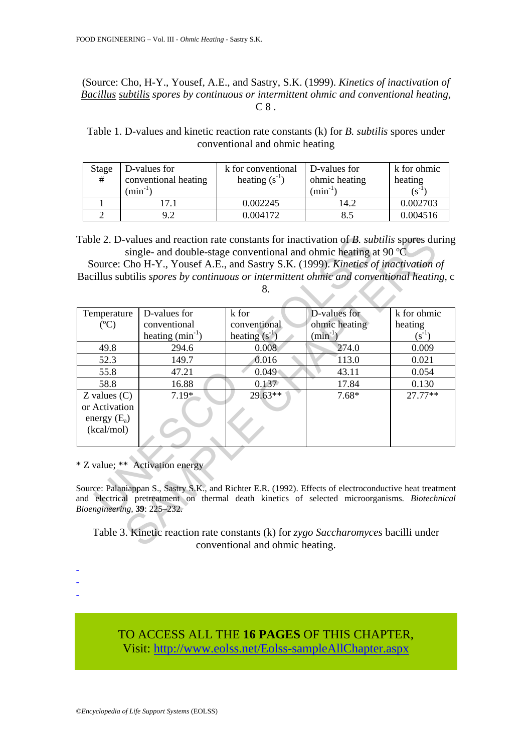(Source: Cho, H-Y., Yousef, A.E., and Sastry, S.K. (1999). *Kinetics of inactivation of Bacillus subtilis spores by continuous or intermittent ohmic and conventional heating*,  $C 8$ .

Table 1. D-values and kinetic reaction rate constants (k) for *B. subtilis* spores under conventional and ohmic heating

| Stage<br># | D-values for<br>conventional heating<br>$(min^{-1}$ | k for conventional<br>heating $(s^{-1})$ | D-values for<br>ohmic heating<br>$\min^{-1}$ | k for ohmic<br>heating<br>$(S^{-1})$ |
|------------|-----------------------------------------------------|------------------------------------------|----------------------------------------------|--------------------------------------|
|            |                                                     | 0.002245                                 | l 4.2                                        | 0.002703                             |
|            |                                                     | 0.004172                                 | 8.5                                          | 0.004516                             |

|                                                                                          | Table 2. D-values and reaction rate constants for inactivation of B. subtilis spores during               |                 |               |             |  |  |  |
|------------------------------------------------------------------------------------------|-----------------------------------------------------------------------------------------------------------|-----------------|---------------|-------------|--|--|--|
|                                                                                          | single- and double-stage conventional and ohmic heating at 90 $^{\circ}$ C                                |                 |               |             |  |  |  |
|                                                                                          | Source: Cho H-Y., Yousef A.E., and Sastry S.K. (1999). Kinetics of inactivation of                        |                 |               |             |  |  |  |
| Bacillus subtilis spores by continuous or intermittent ohmic and conventional heating, c |                                                                                                           |                 |               |             |  |  |  |
| 8.                                                                                       |                                                                                                           |                 |               |             |  |  |  |
|                                                                                          |                                                                                                           |                 |               |             |  |  |  |
| Temperature                                                                              | D-values for                                                                                              | k for           | D-values for  | k for ohmic |  |  |  |
| $(C^{\circ}C)$                                                                           | conventional                                                                                              | conventional    | ohmic heating | heating     |  |  |  |
|                                                                                          | heating $(min^{-1})$                                                                                      | heating $(s-1)$ | $(min^{-1})$  | $(s^{-1})$  |  |  |  |
| 49.8                                                                                     | 294.6                                                                                                     | 0.008           | 274.0         | 0.009       |  |  |  |
| 52.3                                                                                     | 149.7                                                                                                     | 0.016           | 113.0         | 0.021       |  |  |  |
| 55.8                                                                                     | 47.21                                                                                                     | 0.049           | 43.11         | 0.054       |  |  |  |
| 58.8                                                                                     | 16.88                                                                                                     | 0.137           | 17.84         | 0.130       |  |  |  |
| $Z$ values $(C)$                                                                         | $7.19*$                                                                                                   | $29.63**$       | $7.68*$       | $27.77**$   |  |  |  |
| or Activation                                                                            |                                                                                                           |                 |               |             |  |  |  |
| energy $(E_a)$                                                                           |                                                                                                           |                 |               |             |  |  |  |
| (kcal/mol)                                                                               |                                                                                                           |                 |               |             |  |  |  |
|                                                                                          |                                                                                                           |                 |               |             |  |  |  |
|                                                                                          |                                                                                                           |                 |               |             |  |  |  |
|                                                                                          | * Z value; ** Activation energy                                                                           |                 |               |             |  |  |  |
|                                                                                          |                                                                                                           |                 |               |             |  |  |  |
|                                                                                          | Source: Palaniappan S., Sastry S.K., and Richter E.R. (1992). Effects of electroconductive heat treatment |                 |               |             |  |  |  |
|                                                                                          | and electrical pretreatment on thermal death kinetics of selected microorganisms. Biotechnical            |                 |               |             |  |  |  |
| Bioengineering, 39: 225-232.                                                             |                                                                                                           |                 |               |             |  |  |  |
|                                                                                          |                                                                                                           |                 |               |             |  |  |  |
|                                                                                          | Table 3. Kinetic reaction rate constants (k) for zygo Saccharomyces bacilli under                         |                 |               |             |  |  |  |
| conventional and ohmic heating.                                                          |                                                                                                           |                 |               |             |  |  |  |

- - - Table 3. Kinetic reaction rate constants (k) for *zygo Saccharomyces* bacilli under conventional and ohmic heating.

TO ACCESS ALL THE **16 PAGES** OF THIS CHAPTER, Visi[t: http://www.eolss.net/Eolss-sampleAllChapter.aspx](https://www.eolss.net/ebooklib/sc_cart.aspx?File=E5-10-04-02)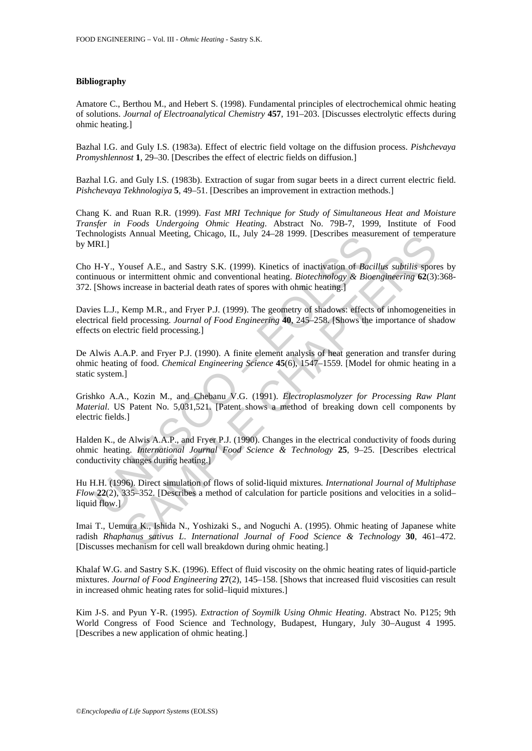#### **Bibliography**

Amatore C., Berthou M., and Hebert S. (1998). Fundamental principles of electrochemical ohmic heating of solutions. *Journal of Electroanalytical Chemistry* **457**, 191–203. [Discusses electrolytic effects during ohmic heating.]

Bazhal I.G. and Guly I.S. (1983a). Effect of electric field voltage on the diffusion process. *Pishchevaya Promyshlennost* **1**, 29–30. [Describes the effect of electric fields on diffusion.]

Bazhal I.G. and Guly I.S. (1983b). Extraction of sugar from sugar beets in a direct current electric field. *Pishchevaya Tekhnologiya* **5**, 49–51. [Describes an improvement in extraction methods.]

Chang K. and Ruan R.R. (1999). *Fast MRI Technique for Study of Simultaneous Heat and Moisture Transfer in Foods Undergoing Ohmic Heating*. Abstract No. 79B-7, 1999, Institute of Food Technologists Annual Meeting, Chicago, IL, July 24–28 1999. [Describes measurement of temperature by MRI.]

Cho H-Y., Yousef A.E., and Sastry S.K. (1999). Kinetics of inactivation of *Bacillus subtilis* spores by continuous or intermittent ohmic and conventional heating. *Biotechnology & Bioengineering* **62**(3):368- 372. [Shows increase in bacterial death rates of spores with ohmic heating.]

Davies L.J., Kemp M.R., and Fryer P.J. (1999). The geometry of shadows: effects of inhomogeneities in electrical field processing. *Journal of Food Engineering* **40**, 245–258. [Shows the importance of shadow effects on electric field processing.]

De Alwis A.A.P. and Fryer P.J. (1990). A finite element analysis of heat generation and transfer during ohmic heating of food. *Chemical Engineering Science* **45**(6), 1547–1559. [Model for ohmic heating in a static system.]

modeous Mindal Meeting, Chicago, H., 3019 24–26 1999. [Describes measured MRI.]<br>
IRI.]<br>
IRI.]<br>
IRI.]<br>
IRI.]<br>
IRI.]<br>
IRI.]<br>
IRI.]<br>
IRI.]<br>
CONDER A.E., and Sastry S.K. (1999). Kinetics of inactivation of *Bacic*<br>
IShows incr S Annual Meeting, Cincago, LL, July 24–26 1999. [Describes measurement of temperations and the Comparities spot interesting and Conventional heating, *Biotechnology & Bioengheering* 62(3) increase in bacterial death rates Grishko A.A., Kozin M., and Chebanu V.G. (1991). *Electroplasmolyzer for Processing Raw Plant Material*. US Patent No. 5,031,521. [Patent shows a method of breaking down cell components by electric fields.]

Halden K., de Alwis A.A.P., and Fryer P.J. (1990). Changes in the electrical conductivity of foods during ohmic heating. *International Journal Food Science & Technology* **25**, 9–25. [Describes electrical conductivity changes during heating.]

Hu H.H. (1996). Direct simulation of flows of solid-liquid mixtures*. International Journal of Multiphase Flow* **22**(2), 335–352. [Describes a method of calculation for particle positions and velocities in a solid– liquid flow.<sup>1</sup>

Imai T., Uemura K., Ishida N., Yoshizaki S., and Noguchi A. (1995). Ohmic heating of Japanese white radish *Rhaphanus sativus L*. *International Journal of Food Science & Technology* **30**, 461–472. [Discusses mechanism for cell wall breakdown during ohmic heating.]

Khalaf W.G. and Sastry S.K. (1996). Effect of fluid viscosity on the ohmic heating rates of liquid-particle mixtures. *Journal of Food Engineering* **27**(2), 145–158. [Shows that increased fluid viscosities can result in increased ohmic heating rates for solid–liquid mixtures.]

Kim J-S. and Pyun Y-R. (1995). *Extraction of Soymilk Using Ohmic Heating*. Abstract No. P125; 9th World Congress of Food Science and Technology, Budapest, Hungary, July 30–August 4 1995. [Describes a new application of ohmic heating.]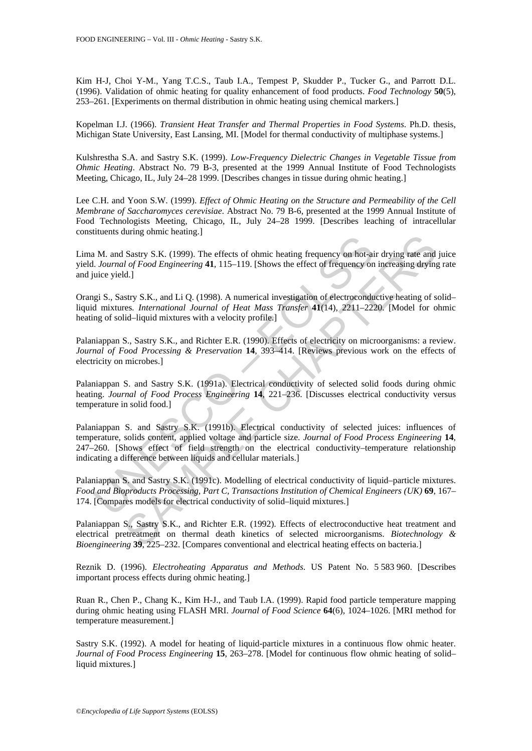Kim H-J, Choi Y-M., Yang T.C.S., Taub I.A., Tempest P, Skudder P., Tucker G., and Parrott D.L. (1996). Validation of ohmic heating for quality enhancement of food products. *Food Technology* **50**(5), 253–261. [Experiments on thermal distribution in ohmic heating using chemical markers.]

Kopelman I.J. (1966). *Transient Heat Transfer and Thermal Properties in Food Systems*. Ph.D. thesis, Michigan State University, East Lansing, MI. [Model for thermal conductivity of multiphase systems.]

Kulshrestha S.A. and Sastry S.K. (1999). *Low-Frequency Dielectric Changes in Vegetable Tissue from Ohmic Heating*. Abstract No. 79 B-3, presented at the 1999 Annual Institute of Food Technologists Meeting, Chicago, IL, July 24–28 1999. [Describes changes in tissue during ohmic heating.]

Lee C.H. and Yoon S.W. (1999). *Effect of Ohmic Heating on the Structure and Permeability of the Cell Membrane of Saccharomyces cerevisiae*. Abstract No. 79 B-6, presented at the 1999 Annual Institute of Food Technologists Meeting, Chicago, IL, July 24–28 1999. [Describes leaching of intracellular constituents during ohmic heating.]

Lima M. and Sastry S.K. (1999). The effects of ohmic heating frequency on hot-air drying rate and juice yield. *Journal of Food Engineering* **41**, 115–119. [Shows the effect of frequency on increasing drying rate and juice yield.]

Orangi S., Sastry S.K., and Li Q. (1998). A numerical investigation of electroconductive heating of solid– liquid mixtures*. International Journal of Heat Mass Transfer* **41**(14), 2211–2220. [Model for ohmic heating of solid–liquid mixtures with a velocity profile.]

Palaniappan S., Sastry S.K., and Richter E.R. (1990). Effects of electricity on microorganisms: a review. *Journal of Food Processing & Preservation* **14**, 393–414. [Reviews previous work on the effects of electricity on microbes.]

Palaniappan S. and Sastry S.K. (1991a). Electrical conductivity of selected solid foods during ohmic heating. *Journal of Food Process Engineering* **14**, 221–236. [Discusses electrical conductivity versus temperature in solid food.]

IN A. and Sastry S.K. (1999). The effects of ohmic heating frequency on hot-air Journal of Food Engineering 41, 115–119. [Shows the effect of frequency on the site of incometaring 41, 115–119. [Shows the effect of frequen Starty S.K. (1999). The effects of ohmic heating frequency on bot-air drying rate and<br>
I of Food Engineering 41, 115-119. [Shows the effect of frequency on increasing drying<br>
Id. J of Food Engineering 41, 115-119. [Shows Palaniappan S. and Sastry S.K. (1991b). Electrical conductivity of selected juices: influences of temperature, solids content, applied voltage and particle size. *Journal of Food Process Engineering* **14**, 247–260. [Shows effect of field strength on the electrical conductivity–temperature relationship indicating a difference between liquids and cellular materials.]

Palaniappan S. and Sastry S.K. (1991c). Modelling of electrical conductivity of liquid–particle mixtures. *Food and Bioproducts Processing, Part C, Transactions Institution of Chemical Engineers (UK)* **69**, 167– 174. [Compares models for electrical conductivity of solid–liquid mixtures.]

Palaniappan S., Sastry S.K., and Richter E.R. (1992). Effects of electroconductive heat treatment and electrical pretreatment on thermal death kinetics of selected microorganisms. *Biotechnology & Bioengineering* **39**, 225–232. [Compares conventional and electrical heating effects on bacteria.]

Reznik D. (1996). *Electroheating Apparatus and Methods*. US Patent No. 5 583 960. [Describes important process effects during ohmic heating.]

Ruan R., Chen P., Chang K., Kim H-J., and Taub I.A. (1999). Rapid food particle temperature mapping during ohmic heating using FLASH MRI. *Journal of Food Science* **64**(6), 1024–1026. [MRI method for temperature measurement.]

Sastry S.K. (1992). A model for heating of liquid-particle mixtures in a continuous flow ohmic heater. *Journal of Food Process Engineering* **15**, 263–278. [Model for continuous flow ohmic heating of solid– liquid mixtures.]